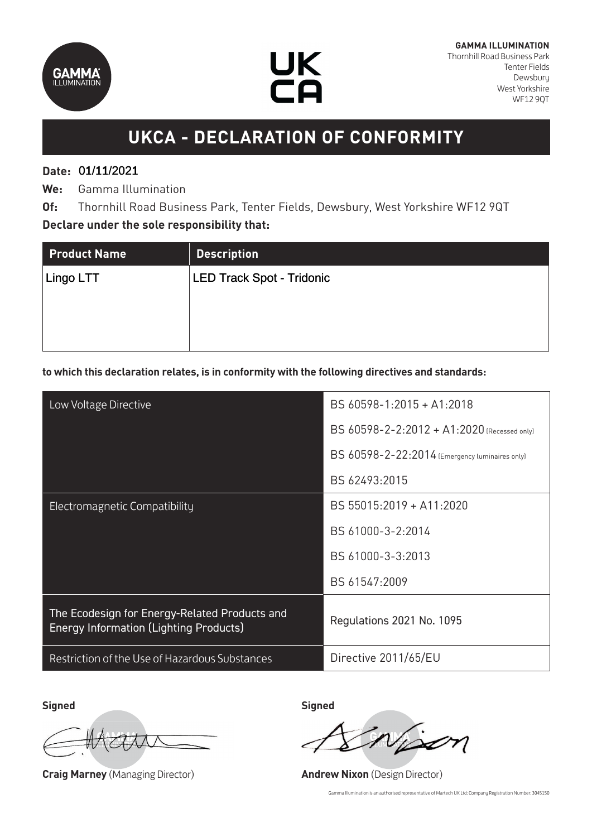



# **UKCA - DECLARATION OF CONFORMITY**

## **Date:**  01/11/2021 01/11/2021

**We:** Gamma Illumination

**Of:** Thornhill Road Business Park, Tenter Fields, Dewsbury, West Yorkshire WF12 9QT **Declare under the sole responsibility that:**

| <b>Product Name</b> | <b>Description</b>               |
|---------------------|----------------------------------|
| Lingo LTT           | <b>LED Track Spot - Tridonic</b> |
|                     |                                  |
|                     |                                  |
|                     |                                  |

#### **to which this declaration relates, is in conformity with the following directives and standards:**

| Low Voltage Directive                                                                          | BS 60598-1:2015 + A1:2018                      |
|------------------------------------------------------------------------------------------------|------------------------------------------------|
|                                                                                                | BS 60598-2-2:2012 + A1:2020 (Recessed only)    |
|                                                                                                | BS 60598-2-22:2014 (Emergency luminaires only) |
|                                                                                                | BS 62493:2015                                  |
| Electromagnetic Compatibility                                                                  | BS 55015:2019 + A11:2020                       |
|                                                                                                | BS 61000-3-2:2014                              |
|                                                                                                | BS 61000-3-3:2013                              |
|                                                                                                | BS 61547:2009                                  |
| The Ecodesign for Energy-Related Products and<br><b>Energy Information (Lighting Products)</b> | Regulations 2021 No. 1095                      |
| Restriction of the Use of Hazardous Substances                                                 | Directive 2011/65/EU                           |

**Signed Signed**

**Craig Marney** (Managing Director) **Andrew Nixon** (Design Director)

Gamma Illumination is an authorised representative of Martech UK Ltd: Company Registration Number: 3045150